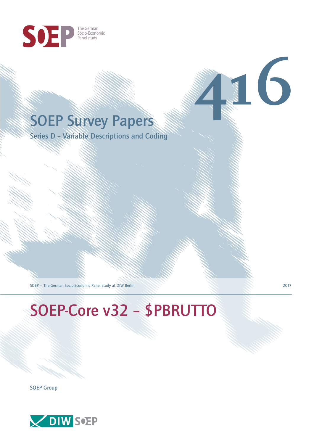

# **416**

Series D – Variable Descriptions and Coding

SOEP — The German Socio-Economic Panel study at DIW Berlin 2017

## SOEP-Core v32 – \$PBRUTTO

SOEP Group

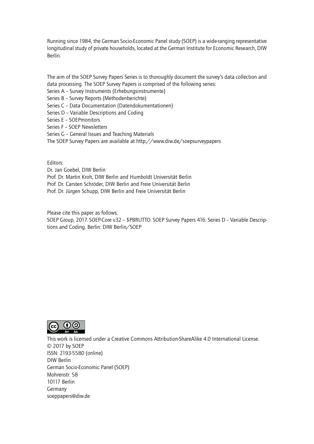Running since 1984, the German Socio-Economic Panel study (SOEP) is a wide-ranging representative longitudinal study of private households, located at the German Institute for Economic Research, DIW Berlin.

The aim of the SOEP Survey Papers Series is to thoroughly document the survey's data collection and data processing. The SOEP Survey Papers is comprised of the following series:

- Series A Survey Instruments (Erhebungsinstrumente)
- Series B Survey Reports (Methodenberichte)
- Series C Data Documentation (Datendokumentationen)
- Series D Variable Descriptions and Coding
- Series E SOEPmonitors
- Series F SOEP Newsletters
- Series G General Issues and Teaching Materials
- The SOEP Survey Papers are available at http://www.diw.de/soepsurveypapers

Editors:

Dr. Jan Goebel, DIW Berlin

- Prof. Dr. Martin Kroh, DIW Berlin and Humboldt Universität Berlin
- Prof. Dr. Carsten Schröder, DIW Berlin and Freie Universität Berlin
- Prof. Dr. Jürgen Schupp, DIW Berlin and Freie Universität Berlin

Please cite this paper as follows:

SOEP Group, 2017. SOEP-Core v32 – \$PBRUTTO. SOEP Survey Papers 416: Series D – Variable Descriptions and Coding. Berlin: DIW Berlin/SOEP



This work is licensed under a Creative Commons Attribution-ShareAlike 4.0 International License. © 2017 by SOEP ISSN: 2193-5580 (online) DIW Berlin German Socio-Economic Pan[el \(SOEP\)](http://creativecommons.org/licenses/by-sa/4.0/) Mohrenstr. 58 10117 Berlin Germany soeppapers@diw.de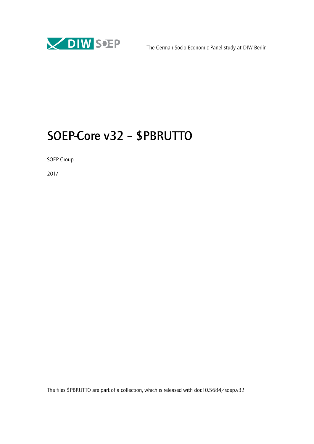

### SOEP-Core v32 – \$PBRUTTO

SOEP Group

2017

The files \$PBRUTTO are part of a collection, which is released with doi:10.5684/soep.v32.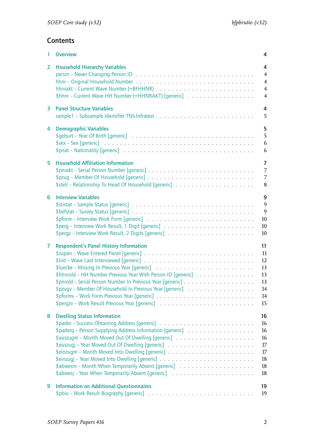#### **Contents**

| 1              | <b>Overview</b>                                                                                                                                                                                  | 4                                                                         |
|----------------|--------------------------------------------------------------------------------------------------------------------------------------------------------------------------------------------------|---------------------------------------------------------------------------|
| $\overline{2}$ | <b>Household Hierarchy Variables</b><br>\$hhnr - Current Wave HH Number (=HHNRAKT) [generic]                                                                                                     | 4<br>$\overline{4}$<br>$\overline{4}$<br>$\overline{4}$<br>$\overline{4}$ |
| $\mathbf{3}$   | <b>Panel Structure Variables</b>                                                                                                                                                                 | 4<br>5                                                                    |
| 4              | <b>Demographic Variables</b><br>$$sex - Sex [generic]                  $<br>\$pnat – Nationality [generic] $\ldots \ldots \ldots \ldots \ldots \ldots \ldots \ldots \ldots \ldots \ldots \ldots$ | 5<br>5<br>6<br>6                                                          |
| 5              | <b>Household Affiliation Information</b>                                                                                                                                                         | $\overline{7}$<br>$\overline{7}$<br>$7\overline{ }$<br>8                  |
| 6              | <b>Interview Variables</b>                                                                                                                                                                       | 9<br>9<br>9<br>10<br>10<br>10                                             |
| $\overline{7}$ | <b>Respondent's Panel History Information</b><br>\$hhnrold - HH Number Previous Year With Person ID [generic]<br>\$pzugv - Member Of Household In Previous Year [generic]                        | 11<br>11<br>12<br>13<br>13<br>13<br>14<br>14<br>15                        |
| 8              | <b>Dwelling Status Information</b><br>\$paderq - Person Supplying Address Information [generic]                                                                                                  | 16<br>16<br>16<br>16<br>17<br>17<br>18<br>18<br>18                        |
| 9              | <b>Information on Additional Questionnaires</b>                                                                                                                                                  | 19<br>19                                                                  |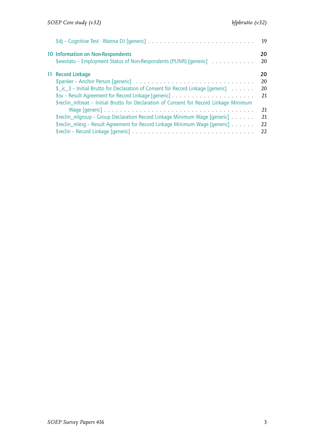|                                                                                                                                                                                                             | 19                    |
|-------------------------------------------------------------------------------------------------------------------------------------------------------------------------------------------------------------|-----------------------|
| 10 Information on Non-Respondents<br>\$ewstatu - Employment Status of Non-Respondents (PUNR) [generic]                                                                                                      | 20<br>20              |
| 11 Record Linkage<br>$\frac{1}{2}$ ic 3 – Initial Brutto for Declaration of Consent for Record Linkage [generic]<br>\$reclin_mitreat - Initial Brutto for Declaration of Consent for Record Linkage Minimum | 20<br>20<br>20<br>21  |
| \$reclin_mlgroup – Group Declaration Record Linkage Minimum Wage [generic]<br>\$reclin_mlerq - Result Agreement for Record Linkage Minimum Wage [generic]                                                   | 21<br>21<br>22.<br>22 |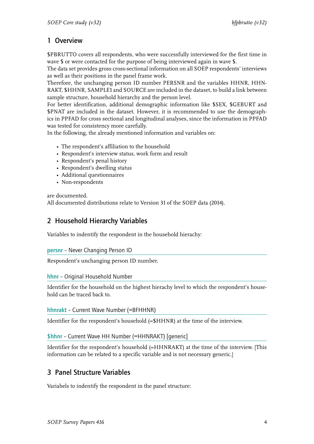#### 1 Overview

\$PBRUTTO covers all respondents, who were successfully interviewed for the first time in wave \$ or were contacted for the purpose of being interviewed again in wave \$.

<span id="page-5-0"></span>The data set provides gross cross-sectional information on all SOEP respondents' interviews as well as their positions in the panel frame work.

Therefore, the unchanging person ID number PERSNR and the variables HHNR, HHN-RAKT, \$HHNR, SAMPLE1 and SOURCE are included in the dataset, to build a link between sample structure, household hierarchy and the person level.

For better identification, additional demographic information like \$SEX, \$GEBURT and \$PNAT are included in the dataset. However, it is recommended to use the demographics in PPFAD for cross sectional and longitudinal analyses, since the information in PPFAD was tested for consistency more carefully.

In the following, the already mentioned information and variables on:

- [The res](�� h t t p : / / p a n e l . g s o e p . d e / s o e p - d o c s / s u r v e y p a p e r s / d i w _ s s p 0 2 5 1 . p d f % 2 0  p f a d D o k u )pondent's affiliation to the household
- Respondent's interview status, work form and result
- Respondent's penal history
- Respondent's dwelling status
- Additional questionnaires
- Non-respondents

are documented.

All documented distributions relate to Version 31 of the SOEP data (2014).

#### 2 Household Hierarchy Variables

Variables to indentify the respondent in the household hierachy:

#### <span id="page-5-1"></span>persnr – Never Changing Person ID

Respondent's unchanging person ID number.

#### <span id="page-5-2"></span>hhnr – Original Household Number

Identifier for the household on the highest hierachy level to which the respondent's household can be traced back to.

#### <span id="page-5-3"></span>hhnrakt – Current Wave Number (=BFHHNR)

Identifier for the respondent's household (=\$HHNR) at the time of the interview.

#### <span id="page-5-4"></span>\$hhnr – Current Wave HH Number (=HHNRAKT) [generic]

Identifier for the respondent's household (=HHNRAKT) at the time of the interview. [This information can be related to a specific variable and is not necessary generic.]

#### 3 Panel Structure Variables

<span id="page-5-5"></span>Variabels to indentify the respondent in the panel structure: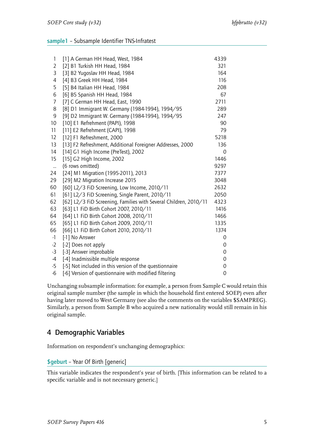#### <span id="page-6-0"></span>sample1 – Subsample Identifier TNS-Infratest

| 1               | [1] A German HH Head, West, 1984                                 | 4339 |
|-----------------|------------------------------------------------------------------|------|
| $\overline{2}$  | [2] B1 Turkish HH Head, 1984                                     | 321  |
| 3               | [3] B2 Yugoslav HH Head, 1984                                    | 164  |
| 4               | [4] B3 Greek HH Head, 1984                                       | 116  |
| 5               | [5] B4 Italian HH Head, 1984                                     | 208  |
| 6               | [6] B5 Spanish HH Head, 1984                                     | 67   |
| 7               | [7] C German HH Head, East, 1990                                 | 2711 |
| 8               | [8] D1 Immigrant W. Germany (1984-1994), 1994/95                 | 289  |
| 9               | [9] D2 Immigrant W. Germany (1984-1994), 1994/95                 | 247  |
| 10 <sup>°</sup> | [10] E1 Refrehment (PAPI), 1998                                  | 90   |
| 11              | [11] E2 Refrehment (CAPI), 1998                                  | 79   |
| 12              | [12] F1 Refreshment, 2000                                        | 5218 |
| 13              | [13] F2 Refreshment, Additional Foreigner Addresses, 2000        | 136  |
| 14              | [14] G1 High Income (PreTest), 2002                              | 0    |
| 15              | [15] G2 High Income, 2002                                        | 1446 |
| $\ldots$        | (6 rows omitted)                                                 | 9297 |
| 24              | [24] M1 Migration (1995-2011), 2013                              | 7377 |
| 29              | [29] M2 Migration Increase 2015                                  | 3048 |
| 60              | [60] L2/3 FiD Screening, Low Income, 2010/11                     | 2632 |
| 61              | [61] L2/3 FiD Screening, Single Parent, 2010/11                  | 2050 |
| 62              | [62] L2/3 FiD Screening, Families with Several Children, 2010/11 | 4323 |
| 63              | [63] L1 FiD Birth Cohort 2007, 2010/11                           | 1416 |
| 64              | [64] L1 FiD Birth Cohort 2008, 2010/11                           | 1466 |
| 65              | [65] L1 FiD Birth Cohort 2009, 2010/11                           | 1335 |
| 66              | [66] L1 FiD Birth Cohort 2010, 2010/11                           | 1374 |
| $-1$            | [-1] No Answer                                                   | 0    |
| $-2$            | [-2] Does not apply                                              | 0    |
| $-3$            | [-3] Answer improbable                                           | 0    |
| $-4$            | [-4] Inadmissible multiple response                              | 0    |
| $-5$            | [-5] Not included in this version of the questionnaire           | 0    |
| $-6$            | [-6] Version of questionnaire with modified filtering            | 0    |

Unchanging subsample information: for example, a person from Sample C would retain this original sample number (the sample in which the household first entered SOEP) even after having later moved to West Germany (see also the comments on the variables \$SAMPREG). Similarly, a person from Sample B who acquired a new nationality would still remain in his original sample.

#### <span id="page-6-1"></span>4 Demographic Variables

Information on respondent's unchanging demographics:

#### <span id="page-6-2"></span>\$geburt – Year Of Birth [generic]

This variable indicates the respondent's year of birth. [This information can be related to a specific variable and is not necessary generic.]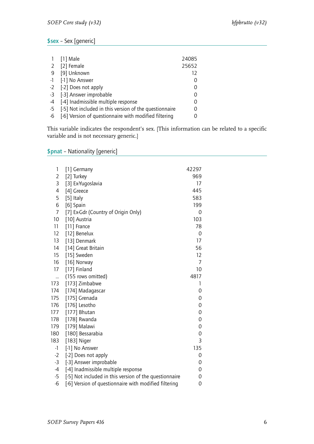#### <span id="page-7-0"></span>\$sex – Sex [generic]

| $\mathbf{1}$ | [1] Male                                                  | 24085 |
|--------------|-----------------------------------------------------------|-------|
| $2^{\circ}$  | [2] Female                                                | 25652 |
|              | 9 [9] Unknown                                             | 12    |
|              | -1 [-1] No Answer                                         |       |
|              | -2 [-2] Does not apply                                    | 0     |
|              | -3 [-3] Answer improbable                                 | 0     |
|              | -4 [-4] Inadmissible multiple response                    | 0     |
|              | -5 [-5] Not included in this version of the questionnaire |       |
|              | -6 [-6] Version of questionnaire with modified filtering  |       |

This variable indicates the respondent's sex. [This information can be related to a specific variable and is not necessary generic.]

#### <span id="page-7-1"></span>\$pnat – Nationality [generic]

| 1              | [1] Germany                                            | 42297            |
|----------------|--------------------------------------------------------|------------------|
| $\overline{2}$ | [2] Turkey                                             | 969              |
| 3              | [3] Ex-Yugoslavia                                      | 17               |
| 4              | [4] Greece                                             | 445              |
| 5              | [5] Italy                                              | 583              |
| 6              | [6] Spain                                              | 199              |
| $\overline{7}$ | [7] Ex-Gdr (Country of Origin Only)                    | 0                |
| 10             | [10] Austria                                           | 103              |
| 11             | [11] France                                            | 78               |
| 12             | [12] Benelux                                           | $\mathbf 0$      |
| 13             | [13] Denmark                                           | 17               |
| 14             | [14] Great Britain                                     | 56               |
| 15             | [15] Sweden                                            | 12               |
| 16             | [16] Norway                                            | 7                |
| 17             | [17] Finland                                           | 10               |
|                | (155 rows omitted)                                     | 4817             |
| 173            | [173] Zimbabwe                                         | 1                |
| 174            | [174] Madagascar                                       | 0                |
| 175            | [175] Grenada                                          | 0                |
| 176            | [176] Lesotho                                          | $\boldsymbol{0}$ |
| 177            | [177] Bhutan                                           | $\mathbf 0$      |
| 178            | [178] Rwanda                                           | 0                |
| 179            | [179] Malawi                                           | 0                |
| 180            | [180] Bessarabia                                       | 0                |
| 183            | [183] Niger                                            | 3                |
| $-1$           | [-1] No Answer                                         | 135              |
| $-2$           | [-2] Does not apply                                    | $\mathbf 0$      |
| $-3$           | [-3] Answer improbable                                 | 0                |
| $-4$           | [-4] Inadmissible multiple response                    | 0                |
| $-5$           | [-5] Not included in this version of the questionnaire | 0                |
| $-6$           | [-6] Version of questionnaire with modified filtering  | 0                |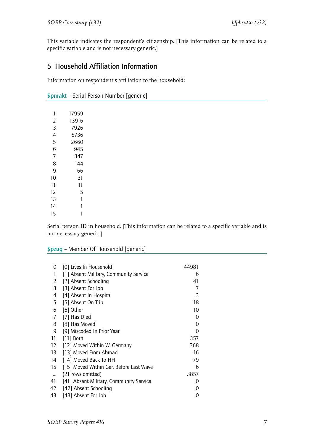This variable indicates the respondent's citizenship. [This information can be related to a specific variable and is not necessary generic.]

#### <span id="page-8-0"></span>5 Household Affiliation Information

Information on respondent's affiliation to the household:

<span id="page-8-1"></span>

| \$pnrakt - Serial Person Number [generic] |  |  |  |  |  |
|-------------------------------------------|--|--|--|--|--|
|-------------------------------------------|--|--|--|--|--|

| 1  | 17959 |
|----|-------|
| 2  | 13916 |
| 3  | 7926  |
| 4  | 5736  |
| 5  | 2660  |
| 6  | 945   |
| 7  | 347   |
| 8  | 144   |
| 9  | 66    |
| 10 | 31    |
| 11 | 11    |
| 12 | 5     |
| 13 | 1     |
| 14 | 1     |
| 15 |       |

Serial person ID in household. [This information can be related to a specific variable and is not necessary generic.]

#### <span id="page-8-2"></span>\$pzug – Member Of Household [generic]

| 0        | [0] Lives In Household                  | 44981 |
|----------|-----------------------------------------|-------|
| 1        | [1] Absent Military, Community Service  | 6     |
| 2        | [2] Absent Schooling                    | 41    |
| 3        | [3] Absent For Job                      | 7     |
| 4        | [4] Absent In Hospital                  | 3     |
| 5        | [5] Absent On Trip                      | 18    |
| 6        | [6] Other                               | 10    |
| 7        | [7] Has Died                            | 0     |
| 8        | [8] Has Moved                           | 0     |
| 9        | [9] Miscoded In Prior Year              | 0     |
| 11       | $[11]$ Born                             | 357   |
| 12       | [12] Moved Within W. Germany            | 368   |
| 13       | [13] Moved From Abroad                  | 16    |
| 14       | [14] Moved Back To HH                   | 79    |
| 15       | [15] Moved Within Ger. Before Last Wave | 6     |
| $\ldots$ | (21 rows omitted)                       | 3857  |
| 41       | [41] Absent Military, Community Service | O     |
| 42       | [42] Absent Schooling                   | O     |
| 43       | [43] Absent For Job                     | 0     |
|          |                                         |       |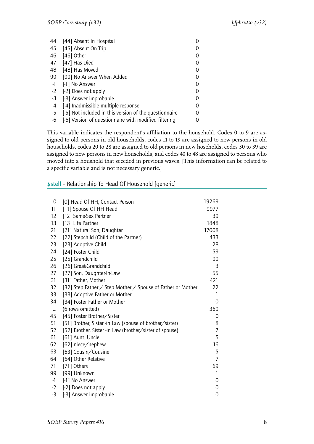| 44   | [44] Absent In Hospital                                |  |
|------|--------------------------------------------------------|--|
| 45   | [45] Absent On Trip                                    |  |
| 46   | $[46]$ Other                                           |  |
| 47   | [47] Has Died                                          |  |
| 48   | [48] Has Moved                                         |  |
| 99   | [99] No Answer When Added                              |  |
| $-1$ | [-1] No Answer                                         |  |
| $-2$ | [-2] Does not apply                                    |  |
| $-3$ | [-3] Answer improbable                                 |  |
| -4   | [-4] Inadmissible multiple response                    |  |
| $-5$ | [-5] Not included in this version of the questionnaire |  |
| -6   | [-6] Version of questionnaire with modified filtering  |  |

This variable indicates the respondent's affiliation to the household. Codes 0 to 9 are assigned to old persons in old households, codes 11 to 19 are assigned to new persons in old households, codes 20 to 28 are assigned to old persons in new hoseholds, codes 30 to 39 are assigned to new persons in new households, and codes 40 to 48 are assigned to persons who moved into a houshold that seceded in previous waves. [This information can be related to a specific variable and is not necessary generic.]

#### <span id="page-9-0"></span>\$stell – Relationship To Head Of Household [generic]

| 0         | [0] Head Of HH, Contact Person                              | 19269          |
|-----------|-------------------------------------------------------------|----------------|
| 11        | [11] Spouse Of HH Head                                      | 9977           |
| 12        | [12] Same-Sex Partner                                       | 39             |
| 13        | [13] Life Partner                                           | 1848           |
| 21        | [21] Natural Son, Daughter                                  | 17008          |
| 22        | [22] Stepchild (Child of the Partner)                       | 433            |
| 23        | [23] Adoptive Child                                         | 28             |
| 24        | [24] Foster Child                                           | 59             |
| 25        | [25] Grandchild                                             | 99             |
| 26        | [26] Great-Grandchild                                       | 3              |
| 27        | [27] Son, Daughter-In-Law                                   | 55             |
| 31        | [31] Father, Mother                                         | 421            |
| 32        | [32] Step Father / Step Mother / Spouse of Father or Mother | 22             |
| 33        | [33] Adoptive Father or Mother                              | 1              |
| 34        | [34] Foster Father or Mother                                | 0              |
| $\ddotsc$ | (6 rows omitted)                                            | 369            |
| 45        | [45] Foster Brother/Sister                                  | $\mathbf 0$    |
| 51        | [51] Brother, Sister -in Law (spouse of brother/sister)     | 8              |
| 52        | [52] Brother, Sister -in Law (brother/sister of spouse)     | $\overline{7}$ |
| 61        | [61] Aunt, Uncle                                            | 5              |
| 62        | [62] niece/nephew                                           | 16             |
| 63        | [63] Cousin/Cousine                                         | 5              |
| 64        | [64] Other Relative                                         | $\overline{7}$ |
| 71        | [71] Others                                                 | 69             |
| 99        | [99] Unknown                                                | 1              |
| $-1$      | [-1] No Answer                                              | 0              |
| $-2$      | [-2] Does not apply                                         | $\mathbf 0$    |
| $-3$      | [-3] Answer improbable                                      | $\mathbf 0$    |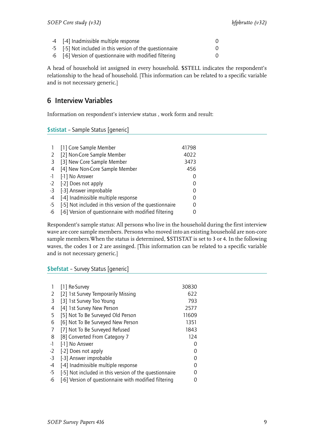| 4 [-4] Inadmissible multiple response                     |  |
|-----------------------------------------------------------|--|
| -5 [-5] Not included in this version of the questionnaire |  |
| -6 [-6] Version of questionnaire with modified filtering  |  |

A head of household ist assigned in every household. \$STELL indicates the respondent's relationship to the head of household. [This information can be related to a specific variable and is not necessary generic.]

#### <span id="page-10-0"></span>6 Interview Variables

Information on respondent's interview status , work form and result:

<span id="page-10-1"></span>\$stistat – Sample Status [generic]

|      | [1] Core Sample Member                                 | 41798            |
|------|--------------------------------------------------------|------------------|
| 2    | [2] Non-Core Sample Member                             | 4022             |
| -3   | [3] New Core Sample Member                             | 3473             |
| 4    | [4] New Non-Core Sample Member                         | 456              |
| $-1$ | [-1] No Answer                                         | $\left( \right)$ |
| $-2$ | [-2] Does not apply                                    | $\left( \right)$ |
| -3   | [-3] Answer improbable                                 | 0                |
| -4   | [-4] Inadmissible multiple response                    |                  |
| -5   | [-5] Not included in this version of the questionnaire |                  |
| -6   | [-6] Version of questionnaire with modified filtering  |                  |

Respondent's sample status: All persons who live in the household during the first interview wave are core sample members. Persons who moved into an existing household are non-core sample members.When the status is determined, \$STISTAT is set to 3 or 4. In the following waves, the codes 1 or 2 are assinged. [This information can be related to a specific variable and is not necessary generic.]

<span id="page-10-2"></span>\$befstat – Survey Status [generic]

|      | [1] Re-Survey                                          | 30830 |
|------|--------------------------------------------------------|-------|
| 2    | [2] 1st Survey Temporarily Missing                     | 622   |
| 3    | [3] 1st Survey Too Young                               | 793   |
| 4    | [4] 1st Survey New Person                              | 2577  |
| 5    | [5] Not To Be Surveyed Old Person                      | 11609 |
| 6    | [6] Not To Be Surveyed New Person                      | 1351  |
| 7    | [7] Not To Be Surveyed Refused                         | 1843  |
| 8    | [8] Converted From Category 7                          | 124   |
| $-1$ | [-1] No Answer                                         | 0     |
| $-2$ | [-2] Does not apply                                    |       |
| -3   | [-3] Answer improbable                                 | Ω     |
| -4   | [-4] Inadmissible multiple response                    | Ω     |
| $-5$ | [-5] Not included in this version of the questionnaire |       |
| -6   | [-6] Version of questionnaire with modified filtering  |       |
|      |                                                        |       |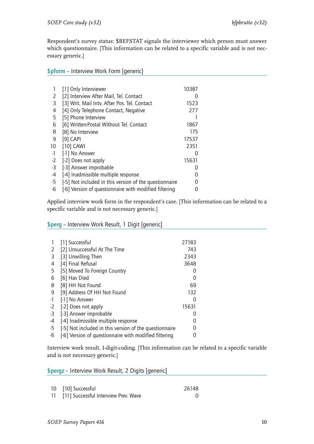Respondent's survey status: \$BEFSTAT signals the interviewer which person must answer which questionnaire. [This information can be related to a specific variable and is not necessary generic.]

#### <span id="page-11-0"></span>\$pform – Interview Work Form [generic]

|      | [1] Only Interviewer                                   | 10387         |  |
|------|--------------------------------------------------------|---------------|--|
| 2    | [2] Interview After Mail, Tel. Contact                 |               |  |
| 3    | [3] Writ. Mail Intv. After Pos. Tel. Contact           | 1523          |  |
| 4    | [4] Only Telephone Contact, Negative                   | 277           |  |
| 5    | [5] Phone Interview                                    |               |  |
| 6    | [6] Written-Postal Without Tel. Contact                | 1867          |  |
| 8    | [8] No Interview                                       | 175           |  |
| 9    | $[9]$ CAPI                                             | 17537         |  |
| 10   | $[10]$ CAWI                                            | 2351          |  |
| $-1$ | [-1] No Answer                                         | $\mathcal{L}$ |  |
| $-2$ | [-2] Does not apply                                    | 15631         |  |
| $-3$ | [-3] Answer improbable                                 | $\mathcal{L}$ |  |
| $-4$ | [-4] Inadmissible multiple response                    | $\mathcal{L}$ |  |
| $-5$ | [-5] Not included in this version of the questionnaire | Ω             |  |
| -6   | [-6] Version of questionnaire with modified filtering  | $\mathcal{O}$ |  |

Applied interview work form in the respondent's case. [This information can be related to a specific variable and is not necessary generic.]

#### <span id="page-11-1"></span>\$perg – Interview Work Result, 1 Digit [generic]

|      | [1] Successful                                         | 27183 |
|------|--------------------------------------------------------|-------|
| 2    | [2] Unsuccessful At The Time                           | 743   |
| 3    | [3] Unwilling Then                                     | 2343  |
| 4    | [4] Final Refusal                                      | 3648  |
| 5    | [5] Moved To Foreign Country                           |       |
| 6    | [6] Has Died                                           | O     |
| 8    | [8] HH Not Found                                       | 69    |
| 9    | [9] Address Of HH Not Found                            | 132   |
| $-1$ | [-1] No Answer                                         |       |
| $-2$ | [-2] Does not apply                                    | 15631 |
| $-3$ | [-3] Answer improbable                                 |       |
| -4   | [-4] Inadmissible multiple response                    |       |
| -5   | [-5] Not included in this version of the questionnaire |       |
| -6   | [-6] Version of questionnaire with modified filtering  |       |

Interview work result, 1-digit-coding. [This information can be related to a specific variable and is not necessary generic.]

<span id="page-11-2"></span>\$pergz – Interview Work Result, 2 Digits [generic]

| 10 [10] Successful                      | 26148 |
|-----------------------------------------|-------|
| 11 [11] Successful Interview Prev. Wave |       |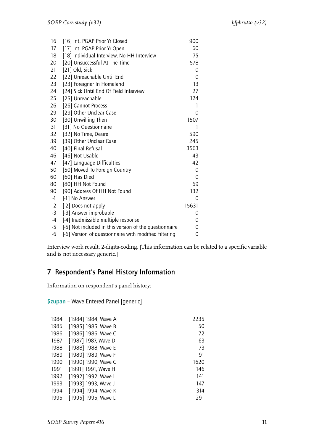| 16   | [16] Int. PGAP Prior Yr Closed                         | 900   |
|------|--------------------------------------------------------|-------|
| 17   | [17] Int. PGAP Prior Yr Open                           | 60    |
| 18   | [18] Individual Interview, No HH Interview             | 75    |
| 20   | [20] Unsuccessful At The Time                          | 578   |
| 21   | [21] Old, Sick                                         | 0     |
| 22   | [22] Unreachable Until End                             | 0     |
| 23   | [23] Foreigner In Homeland                             | 13    |
| 24   | [24] Sick Until End Of Field Interview                 | 27    |
| 25   | [25] Unreachable                                       | 124   |
| 26   | [26] Cannot Process                                    | 1     |
| 29   | [29] Other Unclear Case                                | 0     |
| 30   | [30] Unwilling Then                                    | 1507  |
| 31   | [31] No Questionnaire                                  | 1     |
| 32   | [32] No Time, Desire                                   | 590   |
| 39   | [39] Other Unclear Case                                | 245   |
| 40   | [40] Final Refusal                                     | 3563  |
| 46   | [46] Not Usable                                        | 43    |
| 47   | [47] Language Difficulties                             | 42    |
| 50   | [50] Moved To Foreign Country                          | 0     |
| 60   | [60] Has Died                                          | 0     |
| 80   | [80] HH Not Found                                      | 69    |
| 90   | [90] Address Of HH Not Found                           | 132   |
| $-1$ | [-1] No Answer                                         | 0     |
| $-2$ | [-2] Does not apply                                    | 15631 |
| $-3$ | [-3] Answer improbable                                 | 0     |
| $-4$ | [-4] Inadmissible multiple response                    | 0     |
| $-5$ | [-5] Not included in this version of the questionnaire | 0     |
| -6   | [-6] Version of questionnaire with modified filtering  | 0     |

Interview work result, 2-digits-coding. [This information can be related to a specific variable and is not necessary generic.]

#### <span id="page-12-0"></span>7 Respondent's Panel History Information

Information on respondent's panel history:

| 1984 | [1984] 1984, Wave A | 2235 |
|------|---------------------|------|
| 1985 | [1985] 1985, Wave B | 50   |
| 1986 | [1986] 1986, Wave C | 72   |
| 1987 | [1987] 1987, Wave D | 63   |
| 1988 | [1988] 1988, Wave E | 73   |
| 1989 | [1989] 1989, Wave F | 91   |
| 1990 | [1990] 1990, Wave G | 1620 |
| 1991 | [1991] 1991, Wave H | 146  |
| 1992 | [1992] 1992, Wave I | 141  |
| 1993 | [1993] 1993, Wave J | 147  |
| 1994 | [1994] 1994, Wave K | 314  |
| 1995 | [1995] 1995, Wave L | 291  |

<span id="page-12-1"></span>\$zupan – Wave Entered Panel [generic]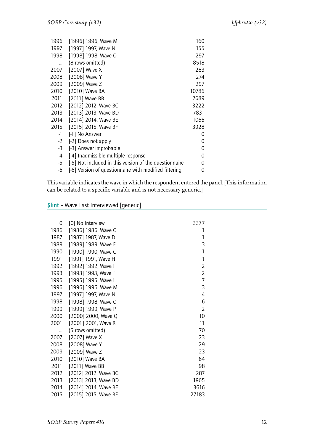| 1996 | [1996] 1996, Wave M                                    | 160   |
|------|--------------------------------------------------------|-------|
| 1997 | [1997] 1997, Wave N                                    | 155   |
| 1998 | [1998] 1998, Wave O                                    | 297   |
|      | (8 rows omitted)                                       | 8518  |
| 2007 | [2007] Wave X                                          | 283   |
| 2008 | [2008] Wave Y                                          | 274   |
| 2009 | [2009] Wave Z                                          | 297   |
| 2010 | [2010] Wave BA                                         | 10786 |
| 2011 | [2011] Wave BB                                         | 7689  |
| 2012 | [2012] 2012, Wave BC                                   | 3222  |
| 2013 | [2013] 2013, Wave BD                                   | 7831  |
| 2014 | [2014] 2014, Wave BE                                   | 1066  |
| 2015 | [2015] 2015, Wave BF                                   | 3928  |
| -1   | [-1] No Answer                                         | 0     |
| $-2$ | [-2] Does not apply                                    | 0     |
| $-3$ | [-3] Answer improbable                                 | 0     |
| -4   | [-4] Inadmissible multiple response                    | 0     |
| -5   | [-5] Not included in this version of the questionnaire | Ω     |
| -6   | [-6] Version of questionnaire with modified filtering  | O     |

This variable indicates the wave in which the respondent entered the panel. [This information can be related to a specific variable and is not necessary generic.]

<span id="page-13-0"></span>\$lint – Wave Last Interviewed [generic]

| 0    | [0] No Interview     | 3377           |
|------|----------------------|----------------|
| 1986 | [1986] 1986, Wave C  | 1              |
| 1987 | [1987] 1987, Wave D  | 1              |
| 1989 | [1989] 1989, Wave F  | 3              |
| 1990 | [1990] 1990, Wave G  | 1              |
| 1991 | [1991] 1991, Wave H  | 1              |
| 1992 | [1992] 1992, Wave I  | $\overline{2}$ |
| 1993 | [1993] 1993, Wave J  | $\overline{2}$ |
| 1995 | [1995] 1995, Wave L  | 7              |
| 1996 | [1996] 1996, Wave M  | 3              |
| 1997 | [1997] 1997, Wave N  | 4              |
| 1998 | [1998] 1998, Wave O  | 6              |
| 1999 | [1999] 1999, Wave P  | $\overline{2}$ |
| 2000 | [2000] 2000, Wave Q  | 10             |
| 2001 | [2001] 2001, Wave R  | 11             |
|      | (5 rows omitted)     | 70             |
| 2007 | [2007] Wave X        | 23             |
| 2008 | [2008] Wave Y        | 29             |
| 2009 | [2009] Wave Z        | 23             |
| 2010 | [2010] Wave BA       | 64             |
| 2011 | [2011] Wave BB       | 98             |
| 2012 | [2012] 2012, Wave BC | 287            |
| 2013 | [2013] 2013, Wave BD | 1965           |
| 2014 | [2014] 2014, Wave BE | 3616           |
| 2015 | [2015] 2015, Wave BF | 27183          |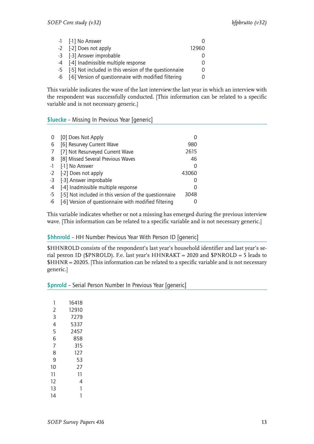| -1 [-1] No Answer                                         |       |
|-----------------------------------------------------------|-------|
| -2 [-2] Does not apply                                    | 12960 |
| -3 [-3] Answer improbable                                 |       |
| -4 [-4] Inadmissible multiple response                    |       |
| -5 [-5] Not included in this version of the questionnaire |       |
| -6 [-6] Version of questionnaire with modified filtering  |       |

This variable indicates the wave of the last interview:the last year in which an interview with the respondent was successfully conducted. [This information can be related to a specific variable and is not necessary generic.]

#### <span id="page-14-0"></span>\$luecke – Missing In Previous Year [generic]

|      | [0] Does Not Apply                                     |       |
|------|--------------------------------------------------------|-------|
| 6    | [6] Resurvey Current Wave                              | 980   |
|      | [7] Not Resurveyed Current Wave                        | 2615  |
| 8    | [8] Missed Several Previous Waves                      | 46    |
| $-1$ | [-1] No Answer                                         | 0     |
|      | -2 [-2] Does not apply                                 | 43060 |
| -3   | [-3] Answer improbable                                 |       |
| -4   | [-4] Inadmissible multiple response                    | 0     |
| -5   | [-5] Not included in this version of the questionnaire | 3048  |
| -6   | [-6] Version of questionnaire with modified filtering  |       |

This variable indicates whether or not a missing has emerged during the previous interview wave. [This information can be related to a specific variable and is not necessary generic.]

#### <span id="page-14-1"></span>\$hhnrold – HH Number Previous Year With Person ID [generic]

\$HHNROLD consists of the respondent's last year's household identifier and last year's serial pesron ID (\$PNROLD). F.e. last year's HHNRAKT = 2020 and \$PNROLD = 5 leads to \$HHNR = 20205. [This information can be related to a specific variable and is not necessary generic.]

#### <span id="page-14-2"></span>\$pnrold – Serial Person Number In Previous Year [generic]

| 1  | 16418 |
|----|-------|
| 2  | 12910 |
| 3  | 7279  |
| 4  | 5337  |
| 5  | 2457  |
| 6  | 858   |
| 7  | 315   |
| 8  | 127   |
| q  | 53    |
| 10 | 27    |
| 11 | 11    |
| 12 | 4     |
| 13 | 1     |
| 14 |       |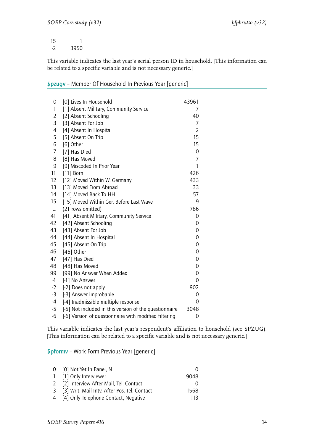1 

This variable indicates the last year's serial person ID in household. [This information can be related to a specific variable and is not necessary generic.]

<span id="page-15-0"></span>

| \$pzugv - Member Of Household In Previous Year [generic] |  |  |  |
|----------------------------------------------------------|--|--|--|
|----------------------------------------------------------|--|--|--|

| 0              | [0] Lives In Household                                 | 43961          |
|----------------|--------------------------------------------------------|----------------|
| 1              | [1] Absent Military, Community Service                 | 7              |
| $\overline{2}$ | [2] Absent Schooling                                   | 40             |
| 3              | [3] Absent For Job                                     | 7              |
| 4              | [4] Absent In Hospital                                 | $\overline{2}$ |
| 5              | [5] Absent On Trip                                     | 15             |
| 6              | [6] Other                                              | 15             |
| 7              | [7] Has Died                                           | 0              |
| 8              | [8] Has Moved                                          | $\overline{7}$ |
| 9              | [9] Miscoded In Prior Year                             | 1              |
| 11             | $[11]$ Born                                            | 426            |
| 12             | [12] Moved Within W. Germany                           | 433            |
| 13             | [13] Moved From Abroad                                 | 33             |
| 14             | [14] Moved Back To HH                                  | 57             |
| 15             | [15] Moved Within Ger. Before Last Wave                | 9              |
| $\ddotsc$      | (21 rows omitted)                                      | 786            |
| 41             | [41] Absent Military, Community Service                | 0              |
| 42             | [42] Absent Schooling                                  | 0              |
| 43             | [43] Absent For Job                                    | 0              |
| 44             | [44] Absent In Hospital                                | 0              |
| 45             | [45] Absent On Trip                                    | 0              |
| 46             | [46] Other                                             | 0              |
| 47             | [47] Has Died                                          | 0              |
| 48             | [48] Has Moved                                         | 0              |
| 99             | [99] No Answer When Added                              | 0              |
| $-1$           | [-1] No Answer                                         | 0              |
| $-2$           | [-2] Does not apply                                    | 902            |
| $-3$           | [-3] Answer improbable                                 | 0              |
| $-4$           | [-4] Inadmissible multiple response                    | 0              |
| $-5$           | [-5] Not included in this version of the questionnaire | 3048           |
| $-6$           | [-6] Version of questionnaire with modified filtering  | 0              |

This variable indicates the last year's respondent's affiliation to household (see \$PZUG). [This information can be related to a specific variable and is not necessary generic.]

<span id="page-15-1"></span>\$pformv – Work Form Previous Year [generic]

| 0 [0] Not Yet In Panel, N                      |      |
|------------------------------------------------|------|
| 1 [1] Only Interviewer                         | 9048 |
| 2 [2] Interview After Mail, Tel. Contact       |      |
| 3 [3] Writ. Mail Intv. After Pos. Tel. Contact | 1568 |
| 4 [4] Only Telephone Contact, Negative         | 113  |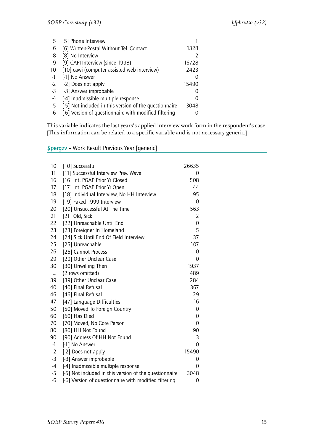| 5    | [5] Phone Interview                                    |       |
|------|--------------------------------------------------------|-------|
| 6    | [6] Written-Postal Without Tel. Contact                | 1328  |
| 8    | [8] No Interview                                       |       |
| 9    | [9] CAPI-Interview (since 1998)                        | 16728 |
| 10   | [10] cawi (computer assisted web interview)            | 2423  |
| $-1$ | [-1] No Answer                                         |       |
| $-2$ | [-2] Does not apply                                    | 15490 |
| -3   | [-3] Answer improbable                                 |       |
| -4   | [-4] Inadmissible multiple response                    |       |
| -5   | [-5] Not included in this version of the questionnaire | 3048  |
| -6   | [-6] Version of questionnaire with modified filtering  |       |

This variable indicates the last years's applied interview work form in the respondent's case. [This information can be related to a specific variable and is not necessary generic.]

#### <span id="page-16-0"></span>\$pergzv – Work Result Previous Year [generic]

| 10             | [10] Successful                                        | 26635          |  |
|----------------|--------------------------------------------------------|----------------|--|
| 11             | [11] Successful Interview Prev. Wave                   | 0              |  |
| 16             | [16] Int. PGAP Prior Yr Closed                         | 508            |  |
| 17             | [17] Int. PGAP Prior Yr Open                           | 44             |  |
| 18             | [18] Individual Interview, No HH Interview             | 95             |  |
| 19             | [19] Faked 1999 Interview                              | 0              |  |
| 20             | [20] Unsuccessful At The Time                          | 563            |  |
| 21             | [21] Old, Sick                                         | $\overline{2}$ |  |
| 22             | [22] Unreachable Until End                             | 0              |  |
| 23             | [23] Foreigner In Homeland                             | 5              |  |
| 24             | [24] Sick Until End Of Field Interview                 | 37             |  |
| 25             | [25] Unreachable                                       | 107            |  |
| 26             | [26] Cannot Process                                    | 0              |  |
| 29             | [29] Other Unclear Case                                | 0              |  |
| 30             | [30] Unwilling Then                                    | 1937           |  |
|                | (2 rows omitted)                                       | 489            |  |
| $\ldots$<br>39 | [39] Other Unclear Case                                | 284            |  |
| 40             |                                                        | 367            |  |
|                | [40] Final Refusal                                     |                |  |
| 46             | [46] Final Refusal                                     | 29             |  |
| 47             | [47] Language Difficulties                             | 16             |  |
| 50             | [50] Moved To Foreign Country                          | 0              |  |
| 60             | [60] Has Died                                          | 0              |  |
| 70             | [70] Moved, No Core Person                             | 0              |  |
| 80             | [80] HH Not Found                                      | 90             |  |
| 90             | [90] Address Of HH Not Found                           | 3              |  |
| $-1$           | [-1] No Answer                                         | 0              |  |
| $-2$           | [-2] Does not apply                                    | 15490          |  |
| $-3$           | [-3] Answer improbable                                 | 0              |  |
| $-4$           | [-4] Inadmissible multiple response                    | 0              |  |
| $-5$           | [-5] Not included in this version of the questionnaire | 3048           |  |
| $-6$           | [-6] Version of questionnaire with modified filtering  | 0              |  |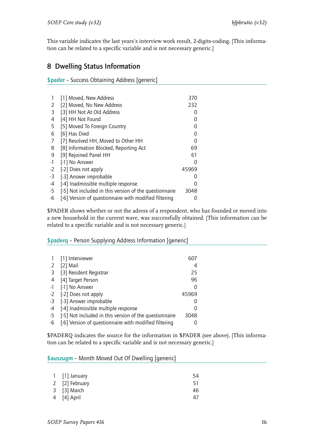This variable indicates the last years's interview work result, 2-digits-coding. [This information can be related to a specific variable and is not necessary generic.]

#### <span id="page-17-0"></span>8 Dwelling Status Information

<span id="page-17-1"></span>\$pader – Success Obtaining Address [generic]

|      | [1] Moved, New Address                                 | 370   |
|------|--------------------------------------------------------|-------|
| 2    | [2] Moved, No New Address                              | 232   |
| 3    | [3] HH Not At Old Address                              |       |
| 4    | [4] HH Not Found                                       |       |
| 5    | [5] Moved To Foreign Country                           |       |
| 6    | [6] Has Died                                           | ი     |
| 7    | [7] Resolved HH, Moved to Other HH                     |       |
| 8    | [8] Information Blocked, Reporting Act                 | 69    |
| 9    | [9] Rejoined Panel HH                                  | 61    |
| $-1$ | [-1] No Answer                                         |       |
| $-2$ | [-2] Does not apply                                    | 45969 |
| $-3$ | [-3] Answer improbable                                 |       |
| -4   | [-4] Inadmissible multiple response                    | O     |
| $-5$ | [-5] Not included in this version of the questionnaire | 3048  |
| -6   | [-6] Version of questionnaire with modified filtering  |       |

\$PADER shows whether or not the adress of a respondent, who has founded or moved into a new household in the current wave, was successfully obtained. [This information can be related to a specific variable and is not necessary generic.]

<span id="page-17-2"></span>\$paderq – Person Supplying Address Information [generic]

|      | [1] Interviewer                                        | 607   |
|------|--------------------------------------------------------|-------|
| 2    | [2] Mail                                               | 4     |
| -3   | [3] Resident Registrar                                 | 25    |
| 4    | [4] Target Person                                      | 96    |
| $-1$ | [-1] No Answer                                         |       |
|      | -2 [-2] Does not apply                                 | 45969 |
|      | -3 [-3] Answer improbable                              |       |
| -4   | [-4] Inadmissible multiple response                    |       |
| -5   | [-5] Not included in this version of the questionnaire | 3048  |
| -6   | [-6] Version of questionnaire with modified filtering  |       |

\$PADERQ indicates the source for the information in \$PADER (see above). [This information can be related to a specific variable and is not necessary generic.]

#### <span id="page-17-3"></span>\$auszugm – Month Moved Out Of Dwelling [generic]

| 1 [1] January  | 54  |
|----------------|-----|
| 2 [2] February | 51. |
| 3 [3] March    | 46  |
| 4 [4] April    | 47  |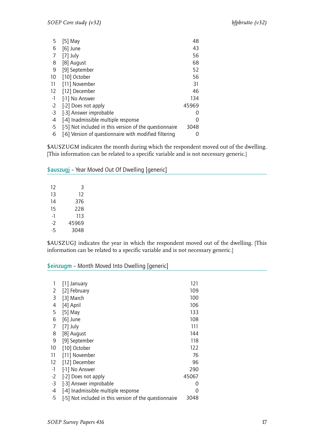| 5    | [5] May                                                | 48            |
|------|--------------------------------------------------------|---------------|
| 6    | $[6]$ June                                             | 43            |
|      | $[7]$ July                                             | 56            |
| 8    | [8] August                                             | 68            |
| 9    | [9] September                                          | 52            |
| 10   | [10] October                                           | 56            |
| 11   | [11] November                                          | 31            |
| 12   | [12] December                                          | 46            |
| $-1$ | [-1] No Answer                                         | 134           |
| $-2$ | [-2] Does not apply                                    | 45969         |
| $-3$ | [-3] Answer improbable                                 | $\mathcal{L}$ |
| $-4$ | [-4] Inadmissible multiple response                    | 0             |
| $-5$ | [-5] Not included in this version of the questionnaire | 3048          |
| -6   | [-6] Version of questionnaire with modified filtering  | $\mathcal{O}$ |

\$AUSZUGM indicates the month during which the respondent moved out of the dwelling. [This information can be related to a specific variable and is not necessary generic.]

<span id="page-18-0"></span>\$auszugj – Year Moved Out Of Dwelling [generic]

| 12 | 3     |
|----|-------|
| 13 | 12    |
| 14 | 376   |
| 15 | 228   |
| -1 | 113   |
| -2 | 45969 |
| -5 | 3048  |

\$AUSZUGJ indicates the year in which the respondent moved out of the dwelling. [This information can be related to a specific variable and is not necessary generic.]

#### <span id="page-18-1"></span>\$einzugm – Month Moved Into Dwelling [generic]

| 1  January                                             | 121   |
|--------------------------------------------------------|-------|
| [2] February                                           | 109   |
| [3] March                                              | 100   |
| [4] April                                              | 106   |
| [5] May                                                | 133   |
| $[6]$ June                                             | 108   |
| $[7]$ July                                             | 111   |
| [8] August                                             | 144   |
| [9] September                                          | 118   |
| [10] October                                           | 122   |
| [11] November                                          | 76    |
| [12] December                                          | 96    |
| [-1] No Answer                                         | 290   |
| [-2] Does not apply                                    | 45067 |
| [-3] Answer improbable                                 | 0     |
| [-4] Inadmissible multiple response                    | 0     |
| [-5] Not included in this version of the questionnaire | 3048  |
|                                                        |       |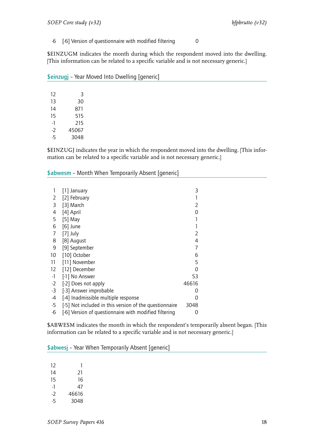-6 [-6] Version of questionnaire with modified filtering 0

\$EINZUGM indicates the month during which the respondent moved into the dwelling. [This information can be related to a specific variable and is not necessary generic.]

|      | --    | --- |  |
|------|-------|-----|--|
|      |       |     |  |
| 12   | 3     |     |  |
| 13   | 30    |     |  |
| 14   | 871   |     |  |
| 15   | 515   |     |  |
| $-1$ | 215   |     |  |
| $-2$ | 45067 |     |  |
| $-5$ | 3048  |     |  |
|      |       |     |  |

<span id="page-19-0"></span>\$einzugj – Year Moved Into Dwelling [generic]

\$EINZUGJ indicates the year in which the respondent moved into the dwelling. [This information can be related to a specific variable and is not necessary generic.]

#### <span id="page-19-1"></span>\$abwesm - Month When Temporarily Absent [generic]

| 1    | $\lceil$ 1] January                                    | 3     |
|------|--------------------------------------------------------|-------|
| 2    | [2] February                                           |       |
| 3    | [3] March                                              | 2     |
| 4    | [4] April                                              | ∩     |
| 5    | [5] May                                                |       |
| 6    | $[6]$ June                                             |       |
| 7    | $[7]$ July                                             | 2     |
| 8    | [8] August                                             | 4     |
| 9    | [9] September                                          | 7     |
| 10   | [10] October                                           | 6     |
| 11   | [11] November                                          | 5     |
| 12   | [12] December                                          | 0     |
| -1   | [-1] No Answer                                         | 53    |
| $-2$ | [-2] Does not apply                                    | 46616 |
| $-3$ | [-3] Answer improbable                                 | 0     |
| -4   | [-4] Inadmissible multiple response                    | ∩     |
| $-5$ | [-5] Not included in this version of the questionnaire | 3048  |
| $-6$ | [-6] Version of questionnaire with modified filtering  | 0     |

\$ABWESM indicates the month in which the respondent's temporarily absent began. [This information can be related to a specific variable and is not necessary generic.]

\$abwesj – Year When Temporarily Absent [generic]

| 12  | 1     |
|-----|-------|
| 14  | 21    |
| 15  | 16    |
| -1  | 47    |
| - 2 | 46616 |
| -5  | 3048  |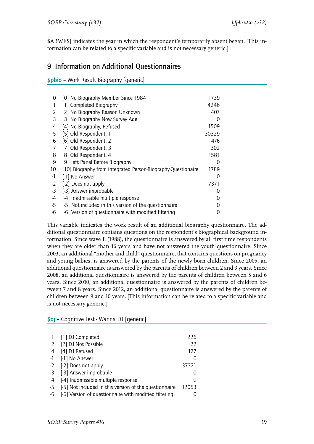\$ABWESJ indicates the year in which the respondent's temporarily absent began. [This information can be related to a specific variable and is not necessary generic.]

#### 9 Information on Additional Questionnaires

<span id="page-20-0"></span>\$pbio – Work Result Biography [generic]

| 1739<br>4246<br>407 |
|---------------------|
|                     |
|                     |
|                     |
| 0                   |
| 1509                |
| 30329               |
| 476                 |
| 302                 |
| 1581                |
| 0                   |
| 1789                |
| 0                   |
| 7371                |
| O                   |
|                     |
|                     |
|                     |
|                     |

This variable indicates the work result of an additional biography questionnaire. The additional questionnaire contains questions on the respondent's biographical background information. Since wave E (1988), the questionnaire is answered by all first time respondents when they are older than 16 years and have not answered the youth questionnaire. Since 2003, an additional "mother and child" questionnaire, that contains questions on pregnancy and young babies, is answered by the parents of the newly born children. Since 2005, an additional questionnaire is answered by the parents of children between 2 and 3 years. Since 2008, an additional questionnaire is answered by the parents of children between 5 and 6 years. Since 2010, an additional questionnaire is answered by the parents of children between 7 and 8 years. Since 2012, an additional questionnaire is answered by the parents of children between 9 and 10 years. [This information can be related to a specific variable and is not necessary generic.]

|      | [1] DJ Completed                                       | 226   |
|------|--------------------------------------------------------|-------|
| 2    | [2] DJ Not Possible                                    | 22    |
| 4    | [4] DJ Refused                                         | 127   |
| $-1$ | [-1] No Answer                                         |       |
| $-2$ | [-2] Does not apply                                    | 37321 |
|      | -3 [-3] Answer improbable                              |       |
| -4   | [-4] Inadmissible multiple response                    |       |
| -5   | [-5] Not included in this version of the questionnaire | 12053 |
| -6   | [-6] Version of questionnaire with modified filtering  |       |

\$dj – Cognitive Test - Wanna DJ [generic]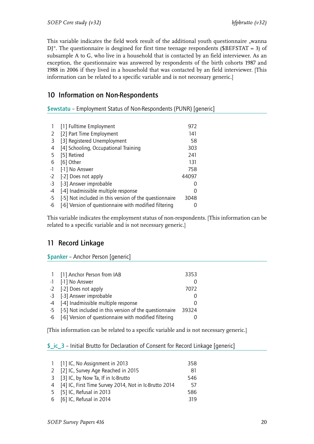This variable indicates the field work result of the additional youth questionnaire "wanna  $D$ <sup>"</sup>. The questionnaire is desgined for first time teenage respondents (\$BEFSTAT = 3) of subsample A to G, who live in a household that is contacted by an field interviewer. As an exception, the questionnaire was answered by respondents of the birth cohorts 1987 and 1988 in 2006 if they lived in a household that was contacted by an field interviewer. [This information can be related to a specific variable and is not necessary generic.]

#### <span id="page-21-0"></span>10 Information on Non-Respondents

<span id="page-21-1"></span>\$ewstatu – Employment Status of Non-Respondents (PUNR) [generic]

|      | [1] Fulltime Employment                                | 972   |
|------|--------------------------------------------------------|-------|
| 2    | [2] Part Time Employment                               | 141   |
| 3    | [3] Registered Unemployment                            | 58    |
| 4    | [4] Schooling, Occupational Training                   | 303   |
| 5    | [5] Retired                                            | 241   |
| 6    | [6] Other                                              | 131   |
| $-1$ | [-1] No Answer                                         | 758   |
| $-2$ | [-2] Does not apply                                    | 44097 |
| -3   | [-3] Answer improbable                                 |       |
| -4   | [-4] Inadmissible multiple response                    | Ω     |
| $-5$ | [-5] Not included in this version of the questionnaire | 3048  |
| -6   | [-6] Version of questionnaire with modified filtering  |       |

This variable indicates the employment status of non-respondents. [This information can be related to a specific variable and is not necessary generic.]

#### <span id="page-21-2"></span>11 Record Linkage

<span id="page-21-3"></span>\$panker – Anchor Person [generic]

| 1 [1] Anchor Person from IAB                              | 3353  |
|-----------------------------------------------------------|-------|
| -1 [-1] No Answer                                         |       |
| -2 [-2] Does not apply                                    | 7072  |
| -3 [-3] Answer improbable                                 |       |
| -4 [-4] Inadmissible multiple response                    |       |
| -5 [-5] Not included in this version of the questionnaire | 39324 |
| -6 [-6] Version of questionnaire with modified filtering  |       |

[This information can be related to a specific variable and is not necessary generic.]

#### <span id="page-21-4"></span>\$\_ic\_3 – Initial Brutto for Declaration of Consent for Record Linkage [generic]

| 1 [1] IC, No Assignment in 2013                         | 358 |
|---------------------------------------------------------|-----|
| 2 [2] IC, Survey Age Reached in 2015                    | 81  |
| 3 [3] IC, by Now Ta, If in Ic-Brutto                    | 546 |
| 4 [4] IC, First Time Survey 2014, Not in Ic-Brutto 2014 | .57 |
| 5 [5] IC, Refusal in 2013                               | 586 |
| 6 [6] IC, Refusal in 2014                               | 319 |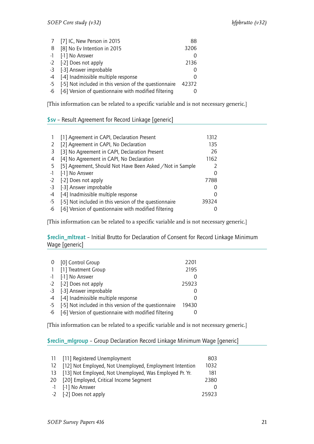| 7 [7] IC, New Person in 2015                              | 88               |
|-----------------------------------------------------------|------------------|
| 8 [8] No Ev Intention in 2015                             | 3206             |
| -1 [-1] No Answer                                         |                  |
| -2 [-2] Does not apply                                    | 2136             |
| -3 [-3] Answer improbable                                 |                  |
| -4 [-4] Inadmissible multiple response                    | $\left( \right)$ |
| -5 [-5] Not included in this version of the questionnaire | 42372            |
| -6 [-6] Version of questionnaire with modified filtering  |                  |

[This information can be related to a specific variable and is not necessary generic.]

#### <span id="page-22-0"></span>\$sv – Result Agreement for Record Linkage [generic]

|      | [1] Agreement in CAPI, Declaration Present                | 1312          |
|------|-----------------------------------------------------------|---------------|
|      | [2] Agreement in CAPI, No Declaration                     | 135           |
| 3    | [3] No Agreement in CAPI, Declaration Present             | 26            |
| 4    | [4] No Agreement in CAPI, No Declaration                  | 1162          |
| -5   | [5] Agreement, Should Not Have Been Asked / Not in Sample | 2             |
| $-1$ | [-1] No Answer                                            | $\Omega$      |
| $-2$ | [-2] Does not apply                                       | 7788          |
| $-3$ | [-3] Answer improbable                                    | $\mathcal{O}$ |
| $-4$ | [-4] Inadmissible multiple response                       | 0             |
| -5   | [-5] Not included in this version of the questionnaire    | 39324         |
| -6   | [-6] Version of questionnaire with modified filtering     |               |

[This information can be related to a specific variable and is not necessary generic.]

#### <span id="page-22-1"></span>\$reclin\_mltreat – Initial Brutto for Declaration of Consent for Record Linkage Minimum Wage [generic]

|              | 0 [0] Control Group                                       | 2201  |
|--------------|-----------------------------------------------------------|-------|
| $\mathbf{1}$ | [1] Treatment Group                                       | 2195  |
|              | -1 [-1] No Answer                                         |       |
|              | -2 [-2] Does not apply                                    | 25923 |
|              | -3 [-3] Answer improbable                                 |       |
|              | -4 [-4] Inadmissible multiple response                    |       |
|              | -5 [-5] Not included in this version of the questionnaire | 19430 |
|              | -6 [-6] Version of questionnaire with modified filtering  |       |

[This information can be related to a specific variable and is not necessary generic.]

\$reclin\_mlgroup – Group Declaration Record Linkage Minimum Wage [generic]

| 11 [11] Registered Unemployment                            | 803   |
|------------------------------------------------------------|-------|
| 12 [12] Not Employed, Not Unemployed, Employment Intention | 1032  |
| 13 [13] Not Employed, Not Unemployed, Was Employed Pr. Yr. | 181   |
| 20 [20] Employed, Critical Income Segment                  | 2380  |
| -1 [-1] No Answer                                          |       |
| -2 [-2] Does not apply                                     | 25923 |